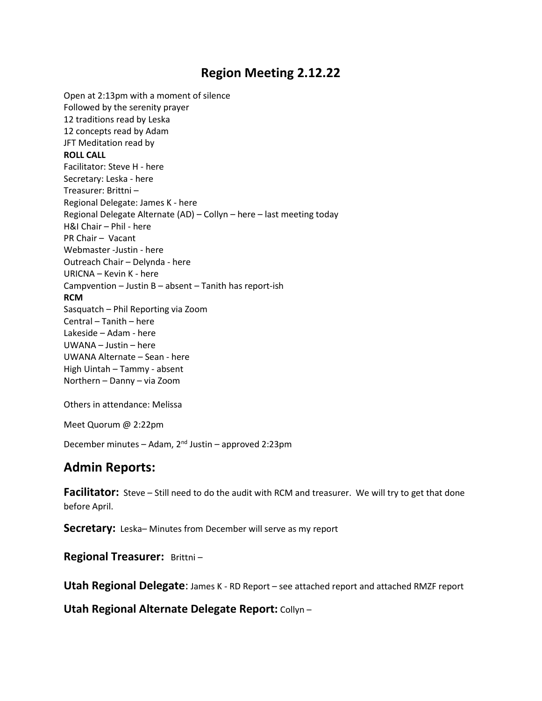# **Region Meeting 2.12.22**

Open at 2:13pm with a moment of silence Followed by the serenity prayer 12 traditions read by Leska 12 concepts read by Adam JFT Meditation read by **ROLL CALL** Facilitator: Steve H - here Secretary: Leska - here Treasurer: Brittni – Regional Delegate: James K - here Regional Delegate Alternate (AD) – Collyn – here – last meeting today H&I Chair – Phil - here PR Chair – Vacant Webmaster -Justin - here Outreach Chair – Delynda - here URICNA – Kevin K - here Campvention – Justin B – absent – Tanith has report-ish **RCM** Sasquatch – Phil Reporting via Zoom Central – Tanith – here Lakeside – Adam - here UWANA – Justin – here UWANA Alternate – Sean - here High Uintah – Tammy - absent Northern – Danny – via Zoom

Others in attendance: Melissa

Meet Quorum @ 2:22pm

December minutes – Adam, 2nd Justin – approved 2:23pm

## **Admin Reports:**

**Facilitator:** Steve – Still need to do the audit with RCM and treasurer. We will try to get that done before April.

**Secretary:** Leska– Minutes from December will serve as my report

**Regional Treasurer:** Brittni-

**Utah Regional Delegate**: James K - RD Report – see attached report and attached RMZF report

**Utah Regional Alternate Delegate Report:** Collyn –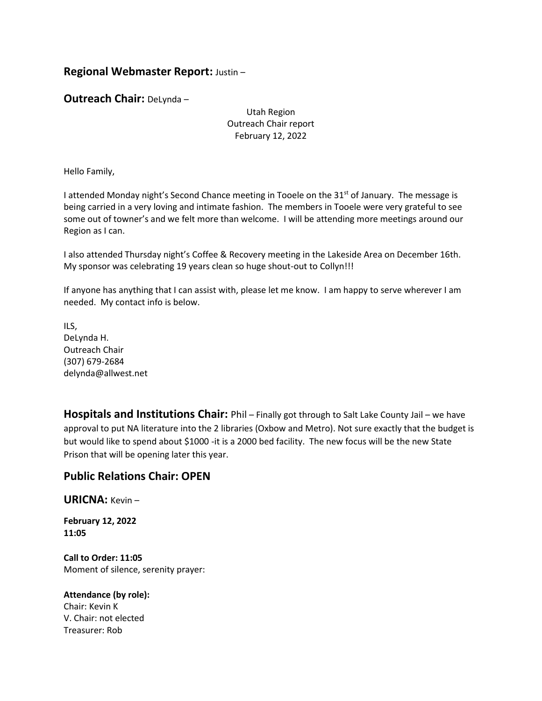## **Regional Webmaster Report:** Justin –

**Outreach Chair:** DeLynda –

Utah Region Outreach Chair report February 12, 2022

Hello Family,

I attended Monday night's Second Chance meeting in Tooele on the  $31<sup>st</sup>$  of January. The message is being carried in a very loving and intimate fashion. The members in Tooele were very grateful to see some out of towner's and we felt more than welcome. I will be attending more meetings around our Region as I can.

I also attended Thursday night's Coffee & Recovery meeting in the Lakeside Area on December 16th. My sponsor was celebrating 19 years clean so huge shout-out to Collyn!!!

If anyone has anything that I can assist with, please let me know. I am happy to serve wherever I am needed. My contact info is below.

ILS, DeLynda H. Outreach Chair (307) 679-2684 delynda@allwest.net

**Hospitals and Institutions Chair:** Phil – Finally got through to Salt Lake County Jail – we have approval to put NA literature into the 2 libraries (Oxbow and Metro). Not sure exactly that the budget is but would like to spend about \$1000 -it is a 2000 bed facility. The new focus will be the new State Prison that will be opening later this year.

## **Public Relations Chair: OPEN**

**URICNA:** Kevin –

**February 12, 2022 11:05**

**Call to Order: 11:05** Moment of silence, serenity prayer:

**Attendance (by role):** Chair: Kevin K V. Chair: not elected Treasurer: Rob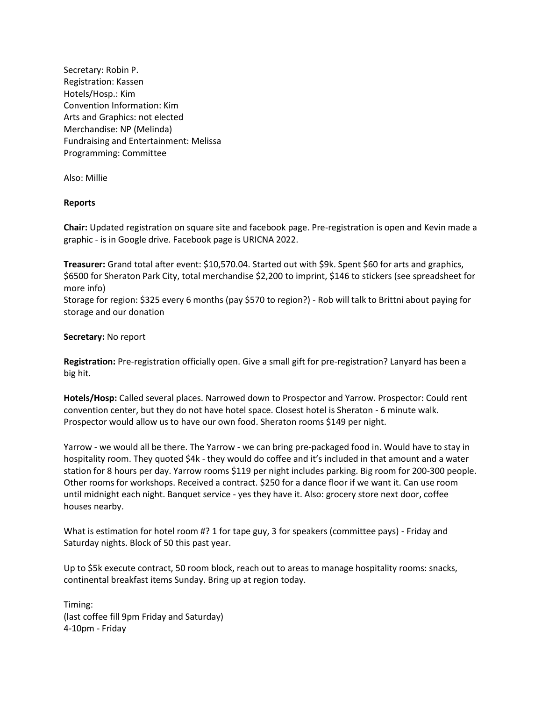Secretary: Robin P. Registration: Kassen Hotels/Hosp.: Kim Convention Information: Kim Arts and Graphics: not elected Merchandise: NP (Melinda) Fundraising and Entertainment: Melissa Programming: Committee

Also: Millie

#### **Reports**

**Chair:** Updated registration on square site and facebook page. Pre-registration is open and Kevin made a graphic - is in Google drive. Facebook page is URICNA 2022.

**Treasurer:** Grand total after event: \$10,570.04. Started out with \$9k. Spent \$60 for arts and graphics, \$6500 for Sheraton Park City, total merchandise \$2,200 to imprint, \$146 to stickers (see spreadsheet for more info)

Storage for region: \$325 every 6 months (pay \$570 to region?) - Rob will talk to Brittni about paying for storage and our donation

#### **Secretary:** No report

**Registration:** Pre-registration officially open. Give a small gift for pre-registration? Lanyard has been a big hit.

**Hotels/Hosp:** Called several places. Narrowed down to Prospector and Yarrow. Prospector: Could rent convention center, but they do not have hotel space. Closest hotel is Sheraton - 6 minute walk. Prospector would allow us to have our own food. Sheraton rooms \$149 per night.

Yarrow - we would all be there. The Yarrow - we can bring pre-packaged food in. Would have to stay in hospitality room. They quoted \$4k - they would do coffee and it's included in that amount and a water station for 8 hours per day. Yarrow rooms \$119 per night includes parking. Big room for 200-300 people. Other rooms for workshops. Received a contract. \$250 for a dance floor if we want it. Can use room until midnight each night. Banquet service - yes they have it. Also: grocery store next door, coffee houses nearby.

What is estimation for hotel room #? 1 for tape guy, 3 for speakers (committee pays) - Friday and Saturday nights. Block of 50 this past year.

Up to \$5k execute contract, 50 room block, reach out to areas to manage hospitality rooms: snacks, continental breakfast items Sunday. Bring up at region today.

Timing: (last coffee fill 9pm Friday and Saturday) 4-10pm - Friday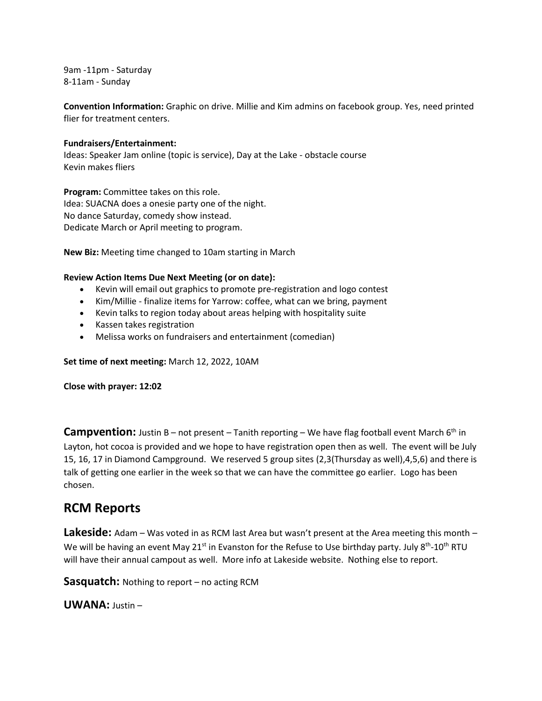9am -11pm - Saturday 8-11am - Sunday

**Convention Information:** Graphic on drive. Millie and Kim admins on facebook group. Yes, need printed flier for treatment centers.

#### **Fundraisers/Entertainment:**

Ideas: Speaker Jam online (topic is service), Day at the Lake - obstacle course Kevin makes fliers

**Program:** Committee takes on this role. Idea: SUACNA does a onesie party one of the night. No dance Saturday, comedy show instead. Dedicate March or April meeting to program.

**New Biz:** Meeting time changed to 10am starting in March

#### **Review Action Items Due Next Meeting (or on date):**

- Kevin will email out graphics to promote pre-registration and logo contest
- Kim/Millie finalize items for Yarrow: coffee, what can we bring, payment
- Kevin talks to region today about areas helping with hospitality suite
- Kassen takes registration
- Melissa works on fundraisers and entertainment (comedian)

**Set time of next meeting:** March 12, 2022, 10AM

**Close with prayer: 12:02**

**Campvention:** Justin B – not present – Tanith reporting – We have flag football event March 6<sup>th</sup> in Layton, hot cocoa is provided and we hope to have registration open then as well. The event will be July 15, 16, 17 in Diamond Campground. We reserved 5 group sites (2,3(Thursday as well),4,5,6) and there is talk of getting one earlier in the week so that we can have the committee go earlier. Logo has been chosen.

## **RCM Reports**

**Lakeside:** Adam – Was voted in as RCM last Area but wasn't present at the Area meeting this month – We will be having an event May 21<sup>st</sup> in Evanston for the Refuse to Use birthday party. July 8<sup>th</sup>-10<sup>th</sup> RTU will have their annual campout as well. More info at Lakeside website. Nothing else to report.

**Sasquatch:** Nothing to report – no acting RCM

**UWANA:** Justin –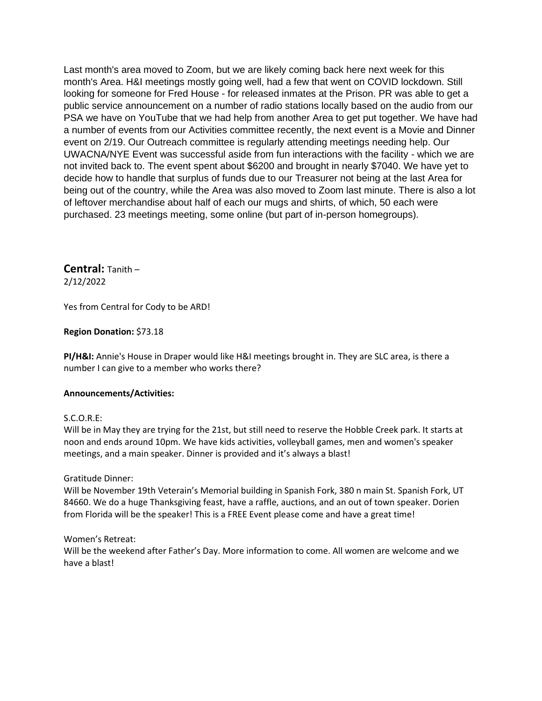Last month's area moved to Zoom, but we are likely coming back here next week for this month's Area. H&I meetings mostly going well, had a few that went on COVID lockdown. Still looking for someone for Fred House - for released inmates at the Prison. PR was able to get a public service announcement on a number of radio stations locally based on the audio from our PSA we have on YouTube that we had help from another Area to get put together. We have had a number of events from our Activities committee recently, the next event is a Movie and Dinner event on 2/19. Our Outreach committee is regularly attending meetings needing help. Our UWACNA/NYE Event was successful aside from fun interactions with the facility - which we are not invited back to. The event spent about \$6200 and brought in nearly \$7040. We have yet to decide how to handle that surplus of funds due to our Treasurer not being at the last Area for being out of the country, while the Area was also moved to Zoom last minute. There is also a lot of leftover merchandise about half of each our mugs and shirts, of which, 50 each were purchased. 23 meetings meeting, some online (but part of in-person homegroups).

**Central:** Tanith – 2/12/2022

Yes from Central for Cody to be ARD!

#### **Region Donation:** \$73.18

**PI/H&I:** Annie's House in Draper would like H&I meetings brought in. They are SLC area, is there a number I can give to a member who works there?

#### **Announcements/Activities:**

#### S.C.O.R.E:

Will be in May they are trying for the 21st, but still need to reserve the Hobble Creek park. It starts at noon and ends around 10pm. We have kids activities, volleyball games, men and women's speaker meetings, and a main speaker. Dinner is provided and it's always a blast!

#### Gratitude Dinner:

Will be November 19th Veterain's Memorial building in Spanish Fork, 380 n main St. Spanish Fork, UT 84660. We do a huge Thanksgiving feast, have a raffle, auctions, and an out of town speaker. Dorien from Florida will be the speaker! This is a FREE Event please come and have a great time!

#### Women's Retreat:

Will be the weekend after Father's Day. More information to come. All women are welcome and we have a blast!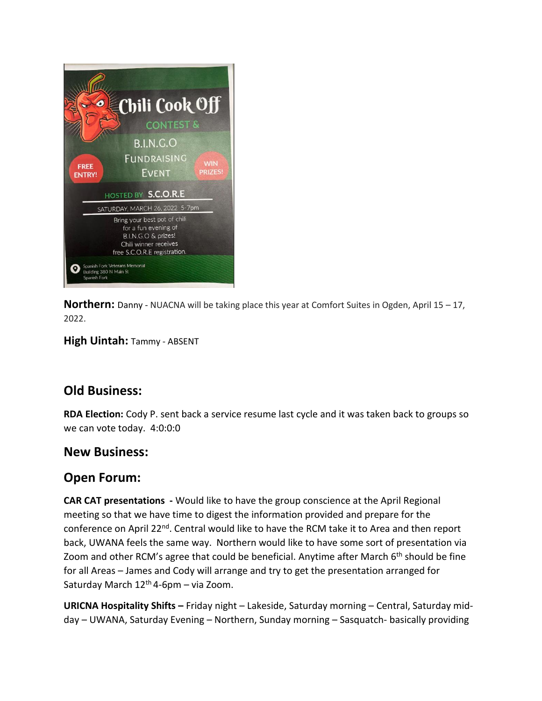

**Northern:** Danny - NUACNA will be taking place this year at Comfort Suites in Ogden, April 15 – 17, 2022.

**High Uintah:** Tammy - ABSENT

# **Old Business:**

**RDA Election:** Cody P. sent back a service resume last cycle and it was taken back to groups so we can vote today. 4:0:0:0

## **New Business:**

# **Open Forum:**

**CAR CAT presentations -** Would like to have the group conscience at the April Regional meeting so that we have time to digest the information provided and prepare for the conference on April 22<sup>nd</sup>. Central would like to have the RCM take it to Area and then report back, UWANA feels the same way. Northern would like to have some sort of presentation via Zoom and other RCM's agree that could be beneficial. Anytime after March  $6<sup>th</sup>$  should be fine for all Areas – James and Cody will arrange and try to get the presentation arranged for Saturday March  $12<sup>th</sup>$  4-6pm – via Zoom.

**URICNA Hospitality Shifts –** Friday night – Lakeside, Saturday morning – Central, Saturday midday – UWANA, Saturday Evening – Northern, Sunday morning – Sasquatch- basically providing